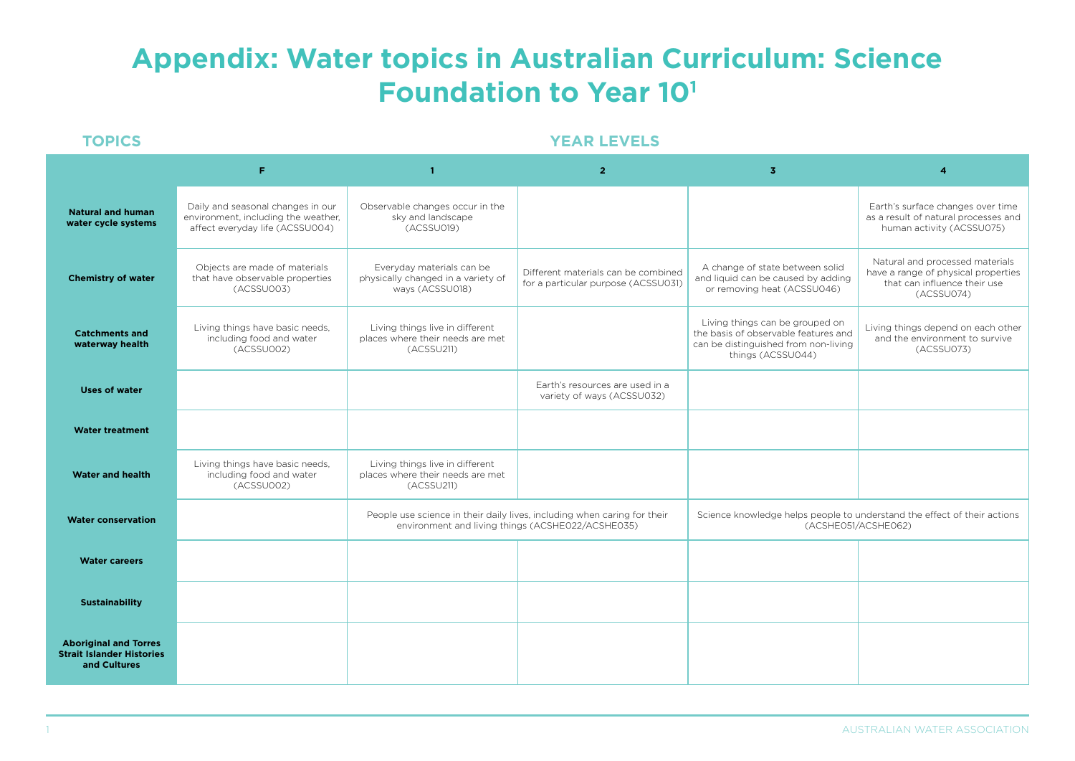## **Appendix: Water topics in Australian Curriculum: Science Foundation to Year 101**

## **TOPICS YEAR LEVELS**

|                                                                                  | F                                                                                                           | $\mathbf{1}$                                                                       | $\overline{2}$                                                                                                                | $\overline{\mathbf{3}}$                                                                                                              |                                                                                                                      |  |
|----------------------------------------------------------------------------------|-------------------------------------------------------------------------------------------------------------|------------------------------------------------------------------------------------|-------------------------------------------------------------------------------------------------------------------------------|--------------------------------------------------------------------------------------------------------------------------------------|----------------------------------------------------------------------------------------------------------------------|--|
| <b>Natural and human</b><br>water cycle systems                                  | Daily and seasonal changes in our<br>environment, including the weather,<br>affect everyday life (ACSSU004) | Observable changes occur in the<br>sky and landscape<br>(ACSSU019)                 |                                                                                                                               |                                                                                                                                      | Earth's surface changes over time<br>as a result of natural processes and<br>human activity (ACSSU075)               |  |
| <b>Chemistry of water</b>                                                        | Objects are made of materials<br>that have observable properties<br>(ACSSU003)                              | Everyday materials can be<br>physically changed in a variety of<br>ways (ACSSU018) | Different materials can be combined<br>for a particular purpose (ACSSU031)                                                    | A change of state between solid<br>and liquid can be caused by adding<br>or removing heat (ACSSU046)                                 | Natural and processed materials<br>have a range of physical properties<br>that can influence their use<br>(ACSSU074) |  |
| <b>Catchments and</b><br>waterway health                                         | Living things have basic needs,<br>including food and water<br>(ACSSU002)                                   | Living things live in different<br>places where their needs are met<br>(ACSSU211)  |                                                                                                                               | Living things can be grouped on<br>the basis of observable features and<br>can be distinguished from non-living<br>things (ACSSU044) | Living things depend on each other<br>and the environment to survive<br>(ACSSU073)                                   |  |
| <b>Uses of water</b>                                                             |                                                                                                             |                                                                                    | Earth's resources are used in a<br>variety of ways (ACSSU032)                                                                 |                                                                                                                                      |                                                                                                                      |  |
| <b>Water treatment</b>                                                           |                                                                                                             |                                                                                    |                                                                                                                               |                                                                                                                                      |                                                                                                                      |  |
| <b>Water and health</b>                                                          | Living things have basic needs,<br>including food and water<br>(ACSSU002)                                   | Living things live in different<br>places where their needs are met<br>(ACSSU211)  |                                                                                                                               |                                                                                                                                      |                                                                                                                      |  |
| <b>Water conservation</b>                                                        |                                                                                                             |                                                                                    | People use science in their daily lives, including when caring for their<br>environment and living things (ACSHE022/ACSHE035) | Science knowledge helps people to understand the effect of their actions<br>(ACSHEO51/ACSHEO62)                                      |                                                                                                                      |  |
| <b>Water careers</b>                                                             |                                                                                                             |                                                                                    |                                                                                                                               |                                                                                                                                      |                                                                                                                      |  |
| <b>Sustainability</b>                                                            |                                                                                                             |                                                                                    |                                                                                                                               |                                                                                                                                      |                                                                                                                      |  |
| <b>Aboriginal and Torres</b><br><b>Strait Islander Histories</b><br>and Cultures |                                                                                                             |                                                                                    |                                                                                                                               |                                                                                                                                      |                                                                                                                      |  |